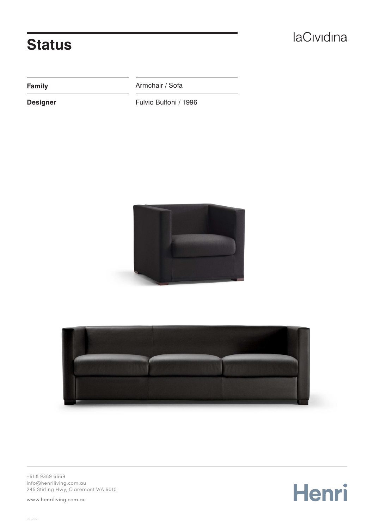## **Status**

**Family Armchair / Sofa** 

**Designer** Fulvio Bulfoni / 1996





+61 8 9389 6669 [info@henriliving.com.au](mailto:info%40henriliving.com.au%0D?subject=) 245 Stirling Hwy, Claremont WA 6010

[www.henriliving.com.au](http://www.henriliving.com.au)

Henri